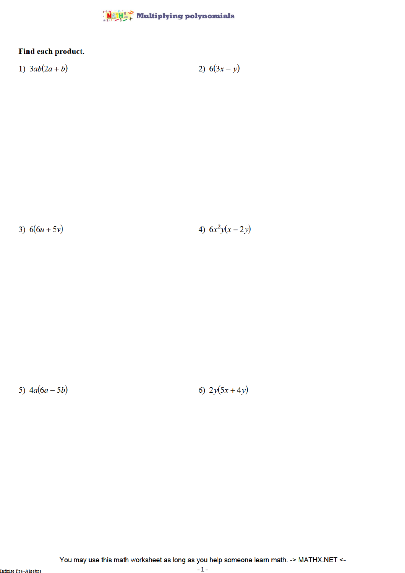

## Find each product.

1) 
$$
3ab(2a+b)
$$
 2)  $6(3x-y)$ 

3)  $6(6u+5v)$ 

4)  $6x^2y(x-2y)$ 

5)  $4a(6a - 5b)$ 

6)  $2y(5x+4y)$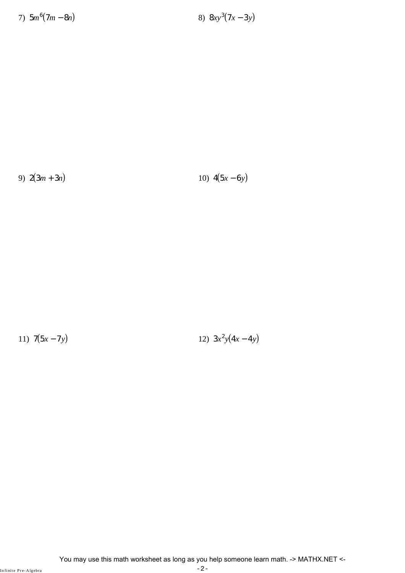7)  $5m^6(7m - 8n)$  8)  $8xy^3$ 

(7*x* − 3*y*)

9) 2(3*m* + 3*n*) 10) 4(5*x* − 6*y*)

11)  $7(5x - 7y)$ 

 $^{2}y(4x-4y)$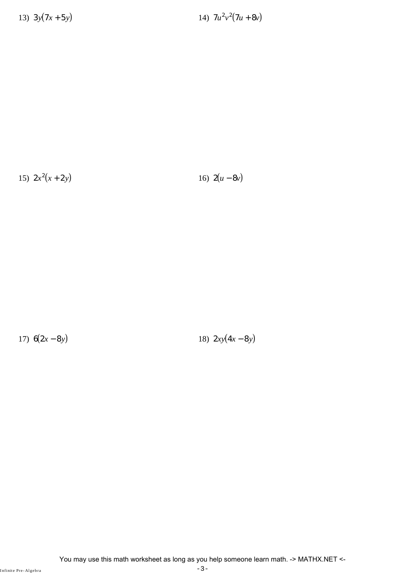13)  $3y(7x+5y)$ 

 $^{2}v^{2}(7u+8v)$ 

15)  $2x^2$ 

(*x* + 2*y*) 16)  $2(u - 8v)$ 

17)  $6(2x - 8y)$  18)  $2xy(4x - 8y)$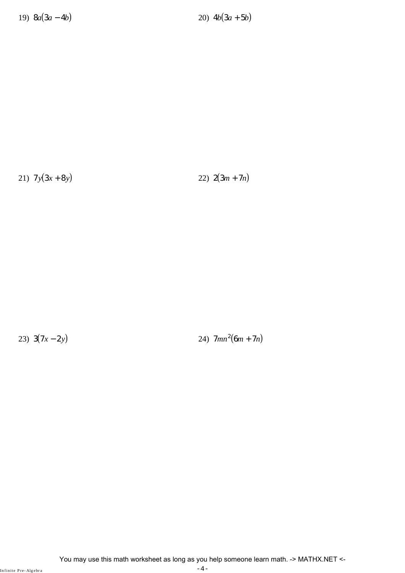21)  $7y(3x + 8y)$  22)  $2(3m + 7n)$ 

23)  $3(7x-2y)$ 

(24)  $7mn^2(6m + 7n)$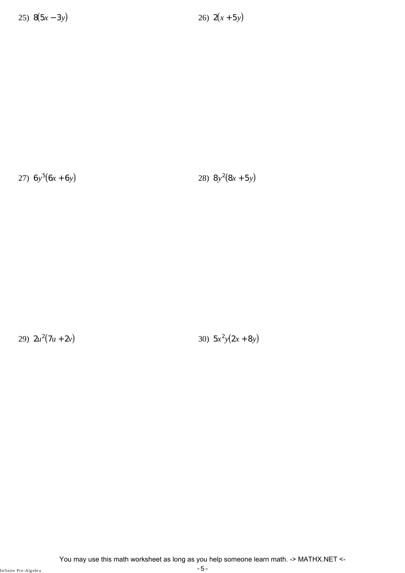27)  $6y^5(6x+6y)$  28) 8*y* 

 $2(8x+5y)$ 

29)  $2u^2(7u+2v)$  30) 5*x* 

 $^{2}y(2x+8y)$